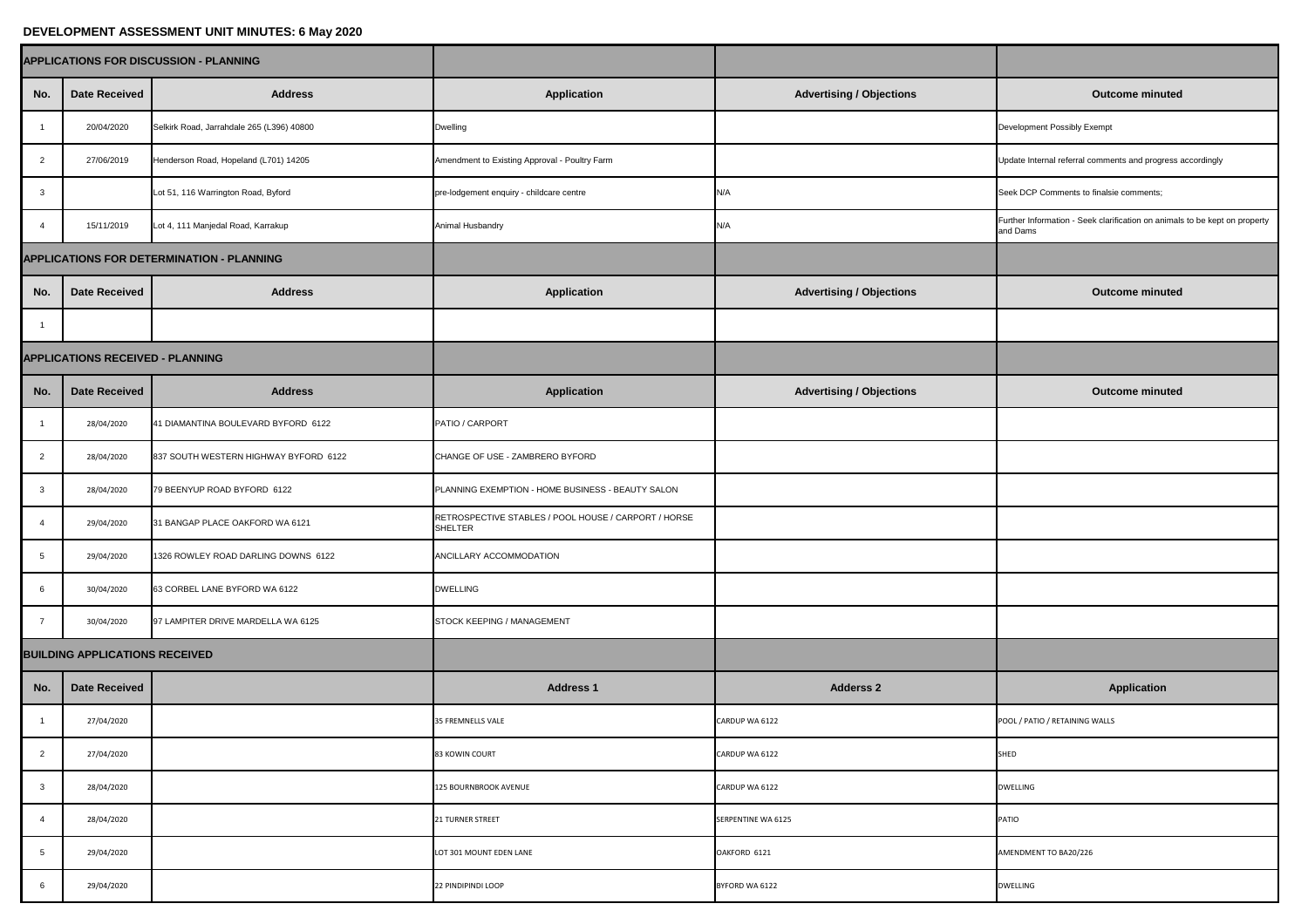## **DEVELOPMENT ASSESSMENT UNIT MINUTES: 6 May 2020**

| <b>APPLICATIONS FOR DISCUSSION - PLANNING</b> |                                         |                                           |                                                                 |                                 |                                                                                        |
|-----------------------------------------------|-----------------------------------------|-------------------------------------------|-----------------------------------------------------------------|---------------------------------|----------------------------------------------------------------------------------------|
| No.                                           | <b>Date Received</b>                    | <b>Address</b>                            | <b>Application</b>                                              | <b>Advertising / Objections</b> | <b>Outcome minuted</b>                                                                 |
|                                               | 20/04/2020                              | Selkirk Road, Jarrahdale 265 (L396) 40800 | Dwelling                                                        |                                 | <b>Development Possibly Exempt</b>                                                     |
| $\overline{2}$                                | 27/06/2019                              | Henderson Road, Hopeland (L701) 14205     | Amendment to Existing Approval - Poultry Farm                   |                                 | Update Internal referral comments and progress accordingly                             |
| $\overline{3}$                                |                                         | Lot 51, 116 Warrington Road, Byford       | pre-lodgement enquiry - childcare centre                        | N/A                             | Seek DCP Comments to finalsie comments;                                                |
|                                               | 15/11/2019                              | Lot 4, 111 Manjedal Road, Karrakup        | <b>Animal Husbandry</b>                                         | N/A                             | Further Information - Seek clarification on animals to be kept on property<br>and Dams |
| APPLICATIONS FOR DETERMINATION - PLANNING     |                                         |                                           |                                                                 |                                 |                                                                                        |
| No.                                           | <b>Date Received</b>                    | <b>Address</b>                            | <b>Application</b>                                              | <b>Advertising / Objections</b> | <b>Outcome minuted</b>                                                                 |
|                                               |                                         |                                           |                                                                 |                                 |                                                                                        |
|                                               | <b>APPLICATIONS RECEIVED - PLANNING</b> |                                           |                                                                 |                                 |                                                                                        |
| No.                                           | <b>Date Received</b>                    | <b>Address</b>                            | <b>Application</b>                                              | <b>Advertising / Objections</b> | <b>Outcome minuted</b>                                                                 |
|                                               | 28/04/2020                              | 41 DIAMANTINA BOULEVARD BYFORD 6122       | PATIO / CARPORT                                                 |                                 |                                                                                        |
| $\overline{2}$                                | 28/04/2020                              | 837 SOUTH WESTERN HIGHWAY BYFORD 6122     | CHANGE OF USE - ZAMBRERO BYFORD                                 |                                 |                                                                                        |
|                                               | 28/04/2020                              | 79 BEENYUP ROAD BYFORD 6122               | PLANNING EXEMPTION - HOME BUSINESS - BEAUTY SALON               |                                 |                                                                                        |
|                                               | 29/04/2020                              | 31 BANGAP PLACE OAKFORD WA 6121           | RETROSPECTIVE STABLES / POOL HOUSE / CARPORT / HORSE<br>SHELTER |                                 |                                                                                        |
| -5                                            | 29/04/2020                              | 1326 ROWLEY ROAD DARLING DOWNS 6122       | ANCILLARY ACCOMMODATION                                         |                                 |                                                                                        |
|                                               | 30/04/2020                              | 63 CORBEL LANE BYFORD WA 6122             | <b>DWELLING</b>                                                 |                                 |                                                                                        |
|                                               | 30/04/2020                              | 97 LAMPITER DRIVE MARDELLA WA 6125        | STOCK KEEPING / MANAGEMENT                                      |                                 |                                                                                        |
| <b>BUILDING APPLICATIONS RECEIVED</b>         |                                         |                                           |                                                                 |                                 |                                                                                        |
| No.                                           | Date Received                           |                                           | <b>Address 1</b>                                                | <b>Adderss 2</b>                | <b>Application</b>                                                                     |
|                                               | 27/04/2020                              |                                           | 35 FREMNELLS VALE                                               | CARDUP WA 6122                  | POOL / PATIO / RETAINING WALLS                                                         |
| $\overline{2}$                                | 27/04/2020                              |                                           | <b>83 KOWIN COURT</b>                                           | CARDUP WA 6122                  | SHED                                                                                   |
| $\mathbf{3}$                                  | 28/04/2020                              |                                           | 125 BOURNBROOK AVENUE                                           | CARDUP WA 6122                  | <b>DWELLING</b>                                                                        |
|                                               | 28/04/2020                              |                                           | <b>21 TURNER STREET</b>                                         | <b>SERPENTINE WA 6125</b>       | PATIO                                                                                  |
| $5\overline{)}$                               | 29/04/2020                              |                                           | LOT 301 MOUNT EDEN LANE                                         | OAKFORD 6121                    | AMENDMENT TO BA20/226                                                                  |
| 6                                             | 29/04/2020                              |                                           | 22 PINDIPINDI LOOP                                              | BYFORD WA 6122                  | <b>DWELLING</b>                                                                        |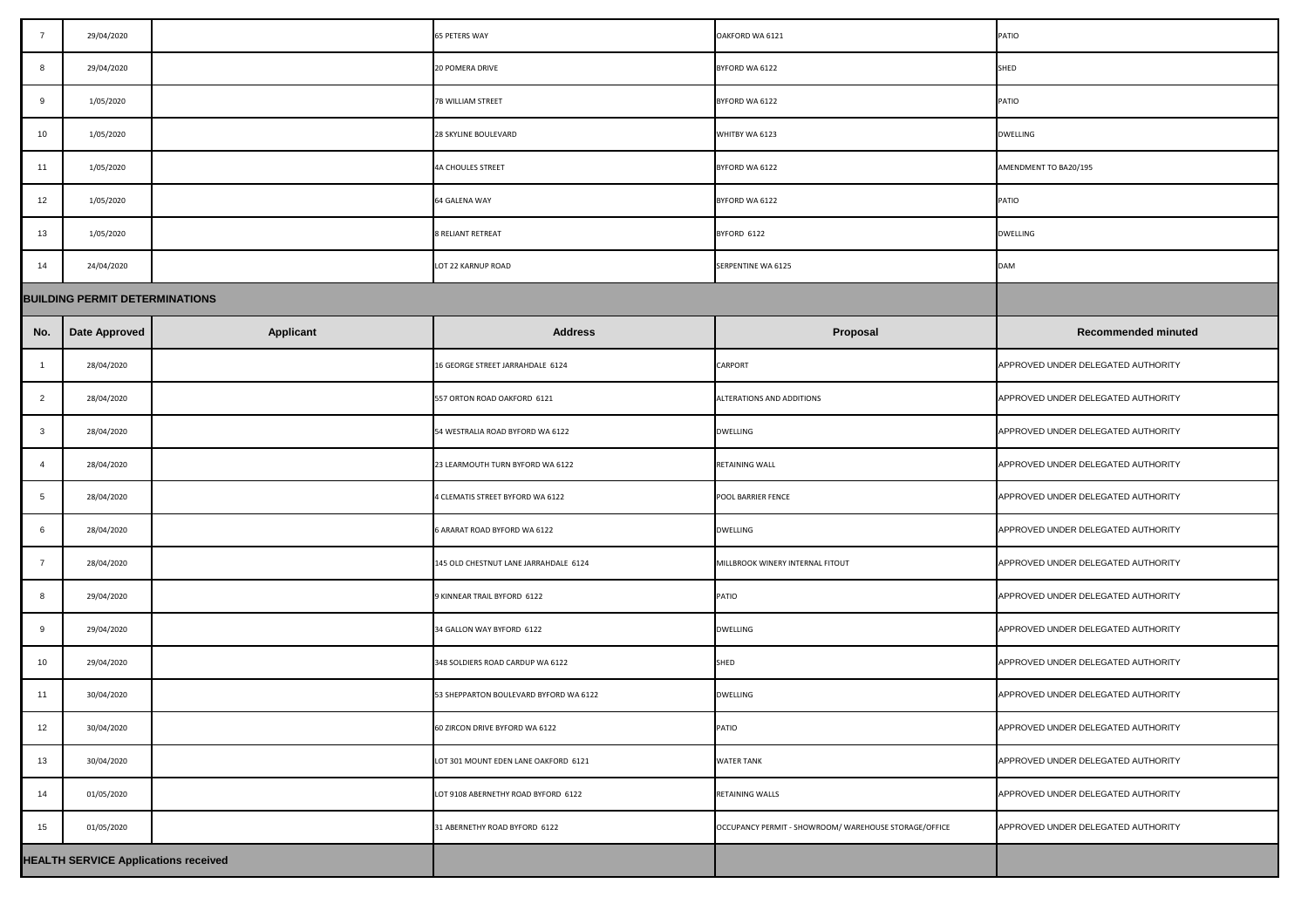| $\overline{7}$                              | 29/04/2020                            |                  | <b>65 PETERS WAY</b>                   | OAKFORD WA 6121                                       | PATIO                              |
|---------------------------------------------|---------------------------------------|------------------|----------------------------------------|-------------------------------------------------------|------------------------------------|
| 8                                           | 29/04/2020                            |                  | <b>20 POMERA DRIVE</b>                 | BYFORD WA 6122                                        | SHED                               |
| 9                                           | 1/05/2020                             |                  | <b>7B WILLIAM STREET</b>               | BYFORD WA 6122                                        | <b>PATIO</b>                       |
| 10                                          | 1/05/2020                             |                  | 28 SKYLINE BOULEVARD                   | WHITBY WA 6123                                        | <b>DWELLING</b>                    |
| 11                                          | 1/05/2020                             |                  | <b>4A CHOULES STREET</b>               | BYFORD WA 6122                                        | AMENDMENT TO BA20/195              |
| 12                                          | 1/05/2020                             |                  | <b>64 GALENA WAY</b>                   | BYFORD WA 6122                                        | <b>PATIO</b>                       |
| 13                                          | 1/05/2020                             |                  | <b>8 RELIANT RETREAT</b>               | BYFORD 6122                                           | <b>DWELLING</b>                    |
| 14                                          | 24/04/2020                            |                  | LOT 22 KARNUP ROAD                     | <b>SERPENTINE WA 6125</b>                             | <b>DAM</b>                         |
|                                             | <b>BUILDING PERMIT DETERMINATIONS</b> |                  |                                        |                                                       |                                    |
| No.                                         | Date Approved                         | <b>Applicant</b> | <b>Address</b>                         | <b>Proposal</b>                                       | <b>Recommended minuted</b>         |
|                                             | 28/04/2020                            |                  | 16 GEORGE STREET JARRAHDALE 6124       | <b>CARPORT</b>                                        | APPROVED UNDER DELEGATED AUTHORITY |
| $\overline{2}$                              | 28/04/2020                            |                  | 557 ORTON ROAD OAKFORD 6121            | ALTERATIONS AND ADDITIONS                             | APPROVED UNDER DELEGATED AUTHORITY |
| $\mathbf{3}$                                | 28/04/2020                            |                  | 54 WESTRALIA ROAD BYFORD WA 6122       | <b>DWELLING</b>                                       | APPROVED UNDER DELEGATED AUTHORITY |
| $\boldsymbol{\Delta}$                       | 28/04/2020                            |                  | 23 LEARMOUTH TURN BYFORD WA 6122       | <b>RETAINING WALL</b>                                 | APPROVED UNDER DELEGATED AUTHORITY |
| -5                                          | 28/04/2020                            |                  | 4 CLEMATIS STREET BYFORD WA 6122       | <b>POOL BARRIER FENCE</b>                             | APPROVED UNDER DELEGATED AUTHORITY |
| 6                                           | 28/04/2020                            |                  | 6 ARARAT ROAD BYFORD WA 6122           | <b>DWELLING</b>                                       | APPROVED UNDER DELEGATED AUTHORITY |
|                                             | 28/04/2020                            |                  | 145 OLD CHESTNUT LANE JARRAHDALE 6124  | MILLBROOK WINERY INTERNAL FITOUT                      | APPROVED UNDER DELEGATED AUTHORITY |
| 8                                           | 29/04/2020                            |                  | 9 KINNEAR TRAIL BYFORD 6122            | <b>PATIO</b>                                          | APPROVED UNDER DELEGATED AUTHORITY |
| 9                                           | 29/04/2020                            |                  | 34 GALLON WAY BYFORD 6122              | <b>DWELLING</b>                                       | APPROVED UNDER DELEGATED AUTHORITY |
| 10                                          | 29/04/2020                            |                  | 348 SOLDIERS ROAD CARDUP WA 6122       | SHED                                                  | APPROVED UNDER DELEGATED AUTHORITY |
| 11                                          | 30/04/2020                            |                  | 53 SHEPPARTON BOULEVARD BYFORD WA 6122 | <b>DWELLING</b>                                       | APPROVED UNDER DELEGATED AUTHORITY |
| 12                                          | 30/04/2020                            |                  | 60 ZIRCON DRIVE BYFORD WA 6122         | <b>PATIO</b>                                          | APPROVED UNDER DELEGATED AUTHORITY |
| 13                                          | 30/04/2020                            |                  | LOT 301 MOUNT EDEN LANE OAKFORD 6121   | <b>WATER TANK</b>                                     | APPROVED UNDER DELEGATED AUTHORITY |
| 14                                          | 01/05/2020                            |                  | LOT 9108 ABERNETHY ROAD BYFORD 6122    | <b>RETAINING WALLS</b>                                | APPROVED UNDER DELEGATED AUTHORITY |
| 15                                          | 01/05/2020                            |                  | 31 ABERNETHY ROAD BYFORD 6122          | OCCUPANCY PERMIT - SHOWROOM/ WAREHOUSE STORAGE/OFFICE | APPROVED UNDER DELEGATED AUTHORITY |
| <b>HEALTH SERVICE Applications received</b> |                                       |                  |                                        |                                                       |                                    |

| $\overline{7}$                              | 29/04/2020                            |                  | <b>65 PETERS WAY</b>                   | OAKFORD WA 6121                                       | <b>PATIO</b>                       |
|---------------------------------------------|---------------------------------------|------------------|----------------------------------------|-------------------------------------------------------|------------------------------------|
| 8                                           | 29/04/2020                            |                  | <b>20 POMERA DRIVE</b>                 | BYFORD WA 6122                                        | <b>SHED</b>                        |
| 9                                           | 1/05/2020                             |                  | 7B WILLIAM STREET                      | BYFORD WA 6122                                        | <b>PATIO</b>                       |
| 10                                          | 1/05/2020                             |                  | 28 SKYLINE BOULEVARD                   | WHITBY WA 6123                                        | <b>DWELLING</b>                    |
| 11                                          | 1/05/2020                             |                  | <b>4A CHOULES STREET</b>               | BYFORD WA 6122                                        | AMENDMENT TO BA20/195              |
| 12                                          | 1/05/2020                             |                  | 64 GALENA WAY                          | BYFORD WA 6122                                        | PATIO                              |
| 13                                          | 1/05/2020                             |                  | <b>8 RELIANT RETREAT</b>               | BYFORD 6122                                           | <b>DWELLING</b>                    |
| 14                                          | 24/04/2020                            |                  | LOT 22 KARNUP ROAD                     | <b>SERPENTINE WA 6125</b>                             | <b>DAM</b>                         |
|                                             | <b>BUILDING PERMIT DETERMINATIONS</b> |                  |                                        |                                                       |                                    |
| No.                                         | Date Approved                         | <b>Applicant</b> | <b>Address</b>                         | Proposal                                              | <b>Recommended minuted</b>         |
|                                             | 28/04/2020                            |                  | 16 GEORGE STREET JARRAHDALE 6124       | <b>CARPORT</b>                                        | APPROVED UNDER DELEGATED AUTHORITY |
| 2                                           | 28/04/2020                            |                  | 557 ORTON ROAD OAKFORD 6121            | ALTERATIONS AND ADDITIONS                             | APPROVED UNDER DELEGATED AUTHORITY |
| $\mathbf{3}$                                | 28/04/2020                            |                  | 54 WESTRALIA ROAD BYFORD WA 6122       | <b>DWELLING</b>                                       | APPROVED UNDER DELEGATED AUTHORITY |
|                                             | 28/04/2020                            |                  | 23 LEARMOUTH TURN BYFORD WA 6122       | <b>RETAINING WALL</b>                                 | APPROVED UNDER DELEGATED AUTHORITY |
| -5                                          | 28/04/2020                            |                  | 4 CLEMATIS STREET BYFORD WA 6122       | POOL BARRIER FENCE                                    | APPROVED UNDER DELEGATED AUTHORITY |
| -6                                          | 28/04/2020                            |                  | 6 ARARAT ROAD BYFORD WA 6122           | <b>DWELLING</b>                                       | APPROVED UNDER DELEGATED AUTHORITY |
|                                             | 28/04/2020                            |                  | 145 OLD CHESTNUT LANE JARRAHDALE 6124  | MILLBROOK WINERY INTERNAL FITOUT                      | APPROVED UNDER DELEGATED AUTHORITY |
| 8                                           | 29/04/2020                            |                  | 9 KINNEAR TRAIL BYFORD 6122            | PATIO                                                 | APPROVED UNDER DELEGATED AUTHORITY |
| 9                                           | 29/04/2020                            |                  | 34 GALLON WAY BYFORD 6122              | <b>DWELLING</b>                                       | APPROVED UNDER DELEGATED AUTHORITY |
| 10                                          | 29/04/2020                            |                  | 348 SOLDIERS ROAD CARDUP WA 6122       | <b>SHED</b>                                           | APPROVED UNDER DELEGATED AUTHORITY |
| 11                                          | 30/04/2020                            |                  | 53 SHEPPARTON BOULEVARD BYFORD WA 6122 | <b>DWELLING</b>                                       | APPROVED UNDER DELEGATED AUTHORITY |
| 12                                          | 30/04/2020                            |                  | 60 ZIRCON DRIVE BYFORD WA 6122         | PATIO                                                 | APPROVED UNDER DELEGATED AUTHORITY |
| 13                                          | 30/04/2020                            |                  | LOT 301 MOUNT EDEN LANE OAKFORD 6121   | <b>WATER TANK</b>                                     | APPROVED UNDER DELEGATED AUTHORITY |
| 14                                          | 01/05/2020                            |                  | LOT 9108 ABERNETHY ROAD BYFORD 6122    | <b>RETAINING WALLS</b>                                | APPROVED UNDER DELEGATED AUTHORITY |
| 15                                          | 01/05/2020                            |                  | 31 ABERNETHY ROAD BYFORD 6122          | OCCUPANCY PERMIT - SHOWROOM/ WAREHOUSE STORAGE/OFFICE | APPROVED UNDER DELEGATED AUTHORITY |
| <b>HEALTH SERVICE Applications received</b> |                                       |                  |                                        |                                                       |                                    |